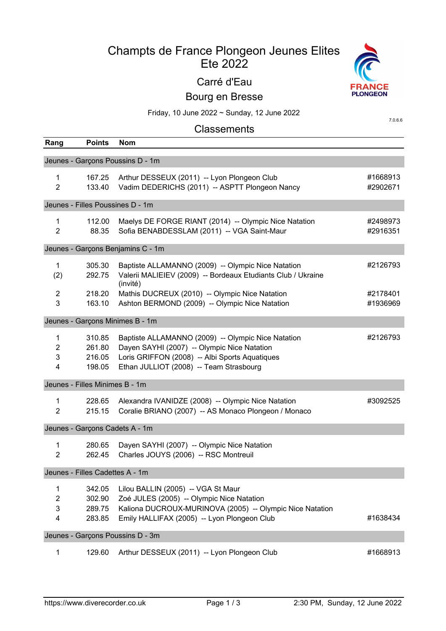# Champts de France Plongeon Jeunes Elites Ete 2022

# Carré d'Eau



Bourg en Bresse

Friday, 10 June 2022 ~ Sunday, 12 June 2022

7.0.6.6

# **Classements**

| Rang                                       | <b>Points</b>                        | <b>Nom</b>                                                                                                                                                                                     |                      |
|--------------------------------------------|--------------------------------------|------------------------------------------------------------------------------------------------------------------------------------------------------------------------------------------------|----------------------|
|                                            |                                      | Jeunes - Garçons Poussins D - 1m                                                                                                                                                               |                      |
| $\mathbf 1$<br>$\overline{2}$              | 167.25<br>133.40                     | Arthur DESSEUX (2011) -- Lyon Plongeon Club<br>Vadim DEDERICHS (2011) -- ASPTT Plongeon Nancy                                                                                                  | #1668913<br>#2902671 |
|                                            | Jeunes - Filles Poussines D - 1m     |                                                                                                                                                                                                |                      |
| 1<br>$\overline{2}$                        | 112.00<br>88.35                      | Maelys DE FORGE RIANT (2014) -- Olympic Nice Natation<br>Sofia BENABDESSLAM (2011) -- VGA Saint-Maur                                                                                           | #2498973<br>#2916351 |
|                                            |                                      | Jeunes - Garçons Benjamins C - 1m                                                                                                                                                              |                      |
| $\mathbf{1}$<br>(2)                        | 305.30<br>292.75                     | Baptiste ALLAMANNO (2009) -- Olympic Nice Natation<br>Valerii MALIEIEV (2009) -- Bordeaux Etudiants Club / Ukraine<br>(invité)                                                                 | #2126793             |
| $\overline{2}$<br>3                        | 218.20<br>163.10                     | Mathis DUCREUX (2010) -- Olympic Nice Natation<br>Ashton BERMOND (2009) -- Olympic Nice Natation                                                                                               | #2178401<br>#1936969 |
|                                            |                                      | Jeunes - Garçons Minimes B - 1m                                                                                                                                                                |                      |
| 1<br>$\overline{c}$<br>3<br>4              | 310.85<br>261.80<br>216.05<br>198.05 | Baptiste ALLAMANNO (2009) -- Olympic Nice Natation<br>Dayen SAYHI (2007) -- Olympic Nice Natation<br>Loris GRIFFON (2008) -- Albi Sports Aquatiques<br>Ethan JULLIOT (2008) -- Team Strasbourg | #2126793             |
|                                            | Jeunes - Filles Minimes B - 1m       |                                                                                                                                                                                                |                      |
| 1<br>$\overline{2}$                        | 228.65<br>215.15                     | Alexandra IVANIDZE (2008) -- Olympic Nice Natation<br>Coralie BRIANO (2007) -- AS Monaco Plongeon / Monaco                                                                                     | #3092525             |
|                                            | Jeunes - Garçons Cadets A - 1m       |                                                                                                                                                                                                |                      |
| $\mathbf{1}$<br>$\overline{2}$             | 280.65<br>262.45                     | Dayen SAYHI (2007) -- Olympic Nice Natation<br>Charles JOUYS (2006) -- RSC Montreuil                                                                                                           |                      |
|                                            | Jeunes - Filles Cadettes A - 1m      |                                                                                                                                                                                                |                      |
| 1<br>$\overline{c}$<br>3<br>$\overline{4}$ | 342.05<br>302.90<br>289.75<br>283.85 | Lilou BALLIN (2005) -- VGA St Maur<br>Zoé JULES (2005) -- Olympic Nice Natation<br>Kaliona DUCROUX-MURINOVA (2005) -- Olympic Nice Natation<br>Emily HALLIFAX (2005) -- Lyon Plongeon Club     | #1638434             |
|                                            |                                      | Jeunes - Garçons Poussins D - 3m                                                                                                                                                               |                      |
| 1                                          | 129.60                               | Arthur DESSEUX (2011) -- Lyon Plongeon Club                                                                                                                                                    | #1668913             |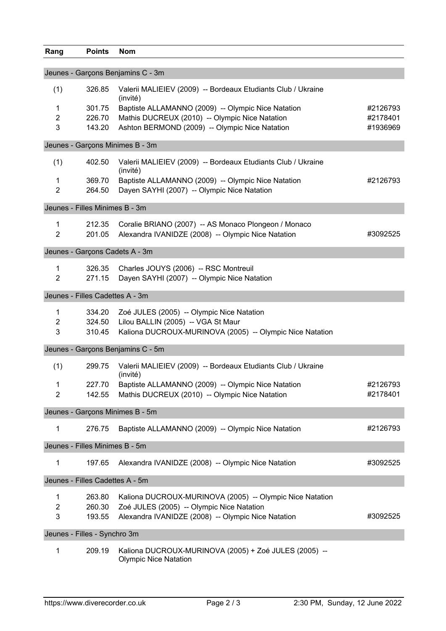| Rang           | <b>Points</b>                   | <b>Nom</b>                                                               |          |
|----------------|---------------------------------|--------------------------------------------------------------------------|----------|
|                |                                 |                                                                          |          |
|                |                                 | Jeunes - Garçons Benjamins C - 3m                                        |          |
| (1)            | 326.85                          | Valerii MALIEIEV (2009) -- Bordeaux Etudiants Club / Ukraine<br>(invité) |          |
| 1              | 301.75                          | Baptiste ALLAMANNO (2009) -- Olympic Nice Natation                       | #2126793 |
| $\overline{2}$ | 226.70                          | Mathis DUCREUX (2010) -- Olympic Nice Natation                           | #2178401 |
| 3              | 143.20                          | Ashton BERMOND (2009) -- Olympic Nice Natation                           | #1936969 |
|                |                                 | Jeunes - Garçons Minimes B - 3m                                          |          |
| (1)            | 402.50                          | Valerii MALIEIEV (2009) -- Bordeaux Etudiants Club / Ukraine<br>(invité) |          |
| 1              | 369.70                          | Baptiste ALLAMANNO (2009) -- Olympic Nice Natation                       | #2126793 |
| $\overline{2}$ | 264.50                          | Dayen SAYHI (2007) -- Olympic Nice Natation                              |          |
|                | Jeunes - Filles Minimes B - 3m  |                                                                          |          |
| 1              | 212.35                          | Coralie BRIANO (2007) -- AS Monaco Plongeon / Monaco                     |          |
| $\overline{2}$ | 201.05                          | Alexandra IVANIDZE (2008) -- Olympic Nice Natation                       | #3092525 |
|                | Jeunes - Garçons Cadets A - 3m  |                                                                          |          |
|                |                                 |                                                                          |          |
| 1              | 326.35                          | Charles JOUYS (2006) -- RSC Montreuil                                    |          |
| $\overline{2}$ | 271.15                          | Dayen SAYHI (2007) -- Olympic Nice Natation                              |          |
|                | Jeunes - Filles Cadettes A - 3m |                                                                          |          |
| 1              | 334.20                          | Zoé JULES (2005) -- Olympic Nice Natation                                |          |
| $\overline{2}$ | 324.50                          | Lilou BALLIN (2005) -- VGA St Maur                                       |          |
| 3              | 310.45                          | Kaliona DUCROUX-MURINOVA (2005) -- Olympic Nice Natation                 |          |
|                |                                 | Jeunes - Garçons Benjamins C - 5m                                        |          |
| (1)            | 299.75                          | Valerii MALIEIEV (2009) -- Bordeaux Etudiants Club / Ukraine<br>(invité) |          |
| $\mathbf{1}$   |                                 | 227.70 Baptiste ALLAMANNO (2009) -- Olympic Nice Natation                | #2126793 |
| $\overline{2}$ | 142.55                          | Mathis DUCREUX (2010) -- Olympic Nice Natation                           | #2178401 |
|                |                                 | Jeunes - Garçons Minimes B - 5m                                          |          |
| 1              | 276.75                          | Baptiste ALLAMANNO (2009) -- Olympic Nice Natation                       | #2126793 |
|                | Jeunes - Filles Minimes B - 5m  |                                                                          |          |
| 1              | 197.65                          | Alexandra IVANIDZE (2008) -- Olympic Nice Natation                       | #3092525 |
|                | Jeunes - Filles Cadettes A - 5m |                                                                          |          |
| 1              | 263.80                          | Kaliona DUCROUX-MURINOVA (2005) -- Olympic Nice Natation                 |          |
| $\overline{2}$ | 260.30                          | Zoé JULES (2005) -- Olympic Nice Natation                                |          |
| 3              | 193.55                          | Alexandra IVANIDZE (2008) -- Olympic Nice Natation                       | #3092525 |
|                | Jeunes - Filles - Synchro 3m    |                                                                          |          |
| 1              | 209.19                          | Kaliona DUCROUX-MURINOVA (2005) + Zoé JULES (2005) --                    |          |
|                |                                 |                                                                          |          |

Olympic Nice Natation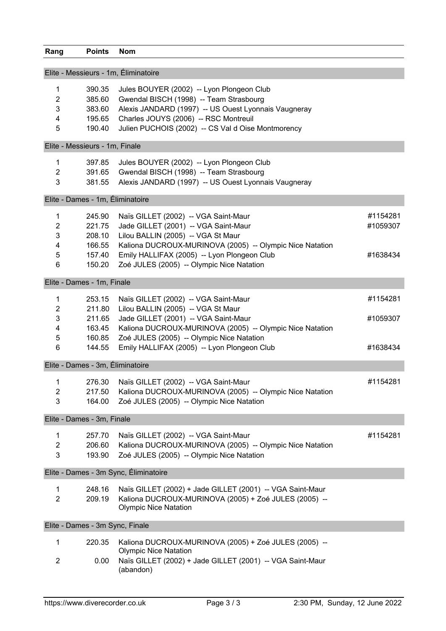|                | Elite - Messieurs - 1m, Éliminatoire |                                                                  |          |
|----------------|--------------------------------------|------------------------------------------------------------------|----------|
| $\mathbf{1}$   | 390.35                               | Jules BOUYER (2002) -- Lyon Plongeon Club                        |          |
| $\overline{2}$ | 385.60                               | Gwendal BISCH (1998) -- Team Strasbourg                          |          |
| 3              | 383.60                               | Alexis JANDARD (1997) -- US Ouest Lyonnais Vaugneray             |          |
| 4              | 195.65                               | Charles JOUYS (2006) -- RSC Montreuil                            |          |
| 5              | 190.40                               | Julien PUCHOIS (2002) -- CS Val d Oise Montmorency               |          |
|                | Elite - Messieurs - 1m, Finale       |                                                                  |          |
| 1              | 397.85                               | Jules BOUYER (2002) -- Lyon Plongeon Club                        |          |
| $\overline{2}$ | 391.65                               | Gwendal BISCH (1998) -- Team Strasbourg                          |          |
| 3              | 381.55                               | Alexis JANDARD (1997) -- US Ouest Lyonnais Vaugneray             |          |
|                | Elite - Dames - 1m, Éliminatoire     |                                                                  |          |
|                |                                      |                                                                  |          |
| 1              | 245.90                               | Naïs GILLET (2002) -- VGA Saint-Maur                             | #1154281 |
| $\overline{2}$ | 221.75                               | Jade GILLET (2001) -- VGA Saint-Maur                             | #1059307 |
| 3              | 208.10                               | Lilou BALLIN (2005) -- VGA St Maur                               |          |
| 4              | 166.55                               | Kaliona DUCROUX-MURINOVA (2005) -- Olympic Nice Natation         |          |
| 5              | 157.40                               | Emily HALLIFAX (2005) -- Lyon Plongeon Club                      | #1638434 |
| 6              | 150.20                               | Zoé JULES (2005) -- Olympic Nice Natation                        |          |
|                | Elite - Dames - 1m, Finale           |                                                                  |          |
| 1              | 253.15                               | Naïs GILLET (2002) -- VGA Saint-Maur                             | #1154281 |
| $\overline{2}$ | 211.80                               | Lilou BALLIN (2005) -- VGA St Maur                               |          |
| 3              | 211.65                               | Jade GILLET (2001) -- VGA Saint-Maur                             | #1059307 |
| 4              | 163.45                               | Kaliona DUCROUX-MURINOVA (2005) -- Olympic Nice Natation         |          |
| 5              | 160.85                               | Zoé JULES (2005) -- Olympic Nice Natation                        |          |
| 6              |                                      |                                                                  |          |
|                | 144.55                               | Emily HALLIFAX (2005) -- Lyon Plongeon Club                      | #1638434 |
|                | Elite - Dames - 3m, Éliminatoire     |                                                                  |          |
| 1              | 276.30                               | Naïs GILLET (2002) -- VGA Saint-Maur                             | #1154281 |
| 2              | 217.50                               | Kaliona DUCROUX-MURINOVA (2005) -- Olympic Nice Natation         |          |
| 3              | 164.00                               | Zoé JULES (2005) -- Olympic Nice Natation                        |          |
|                | Elite - Dames - 3m, Finale           |                                                                  |          |
|                | 257.70                               |                                                                  | #1154281 |
| 1              |                                      | Naïs GILLET (2002) -- VGA Saint-Maur                             |          |
| 2              | 206.60                               | Kaliona DUCROUX-MURINOVA (2005) -- Olympic Nice Natation         |          |
| 3              | 193.90                               | Zoé JULES (2005) -- Olympic Nice Natation                        |          |
|                |                                      | Elite - Dames - 3m Sync, Éliminatoire                            |          |
|                |                                      | 248 16 Naïs GILLET (2002) + Jade GILLET (2001) -- VGA Saint-Maur |          |

|   | 248.16 Naïs GILLET (2002) + Jade GILLET (2001) -- VGA Saint-Maur                             |
|---|----------------------------------------------------------------------------------------------|
| 2 | 209.19 Kaliona DUCROUX-MURINOVA (2005) + Zoé JULES (2005) --<br><b>Olympic Nice Natation</b> |
|   |                                                                                              |

Elite - Dames - 3m Sync, Finale

**Rang Points Nom**

|   | 220.35 | Kaliona DUCROUX-MURINOVA (2005) + Zoé JULES (2005) --                  |
|---|--------|------------------------------------------------------------------------|
|   |        | <b>Olympic Nice Natation</b>                                           |
| 2 | 0.00   | Naïs GILLET (2002) + Jade GILLET (2001) -- VGA Saint-Maur<br>(abandon) |
|   |        |                                                                        |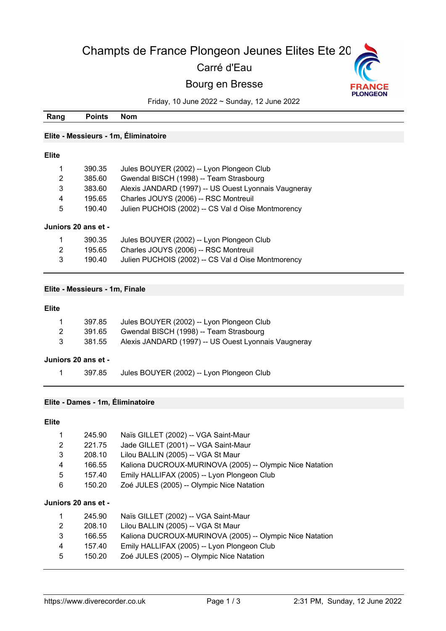# Champts de France Plongeon Jeunes Elites Ete 20

## Carré d'Eau

## Bourg en Bresse



Friday, 10 June 2022 ~ Sunday, 12 June 2022

| Rang           | <b>Points</b>                  | Nom                                                  |
|----------------|--------------------------------|------------------------------------------------------|
|                |                                |                                                      |
|                |                                | Elite - Messieurs - 1m, Éliminatoire                 |
|                |                                |                                                      |
| <b>Elite</b>   |                                |                                                      |
|                | 390.35                         | Jules BOUYER (2002) -- Lyon Plongeon Club            |
| $\overline{2}$ | 385.60                         | Gwendal BISCH (1998) -- Team Strasbourg              |
| 3              | 383.60                         | Alexis JANDARD (1997) -- US Ouest Lyonnais Vaugneray |
| 4              | 195.65                         | Charles JOUYS (2006) -- RSC Montreuil                |
| 5              | 190.40                         | Julien PUCHOIS (2002) -- CS Val d Oise Montmorency   |
|                | Juniors 20 ans et -            |                                                      |
|                | 390.35                         | Jules BOUYER (2002) -- Lyon Plongeon Club            |
| 2              | 195.65                         | Charles JOUYS (2006) -- RSC Montreuil                |
| 3              | 190.40                         | Julien PUCHOIS (2002) -- CS Val d Oise Montmorency   |
|                |                                |                                                      |
|                |                                |                                                      |
|                | Elite - Messieurs - 1m, Finale |                                                      |

#### **Elite**

|              | Juniors 20 ans et - |                                                      |
|--------------|---------------------|------------------------------------------------------|
| 3            | 381.55              | Alexis JANDARD (1997) -- US Ouest Lyonnais Vaugneray |
| 2            | 391.65              | Gwendal BISCH (1998) -- Team Strasbourg              |
| $\mathbf{1}$ | 397.85              | Jules BOUYER (2002) -- Lyon Plongeon Club            |

397.85 Jules BOUYER (2002) -- Lyon Plongeon Club

#### **Elite - Dames - 1m, Éliminatoire**

#### **Elite**

| 1<br>2<br>3<br>4<br>5<br>6 | 245.90<br>221.75<br>208.10<br>166.55<br>157.40<br>150.20 | Naïs GILLET (2002) -- VGA Saint-Maur<br>Jade GILLET (2001) -- VGA Saint-Maur<br>Lilou BALLIN (2005) -- VGA St Maur<br>Kaliona DUCROUX-MURINOVA (2005) -- Olympic Nice Natation<br>Emily HALLIFAX (2005) -- Lyon Plongeon Club<br>Zoé JULES (2005) -- Olympic Nice Natation |
|----------------------------|----------------------------------------------------------|----------------------------------------------------------------------------------------------------------------------------------------------------------------------------------------------------------------------------------------------------------------------------|
|                            | Juniors 20 ans et -                                      |                                                                                                                                                                                                                                                                            |
| 1                          | 245.90                                                   | Naïs GILLET (2002) -- VGA Saint-Maur                                                                                                                                                                                                                                       |
| 2                          | 208.10                                                   | Lilou BALLIN (2005) -- VGA St Maur                                                                                                                                                                                                                                         |
| 3                          | 166.55                                                   | Kaliona DUCROUX-MURINOVA (2005) -- Olympic Nice Natation                                                                                                                                                                                                                   |
| 4                          | 157.40                                                   | Emily HALLIFAX (2005) -- Lyon Plongeon Club                                                                                                                                                                                                                                |

150.20 Zoé JULES (2005) -- Olympic Nice Natation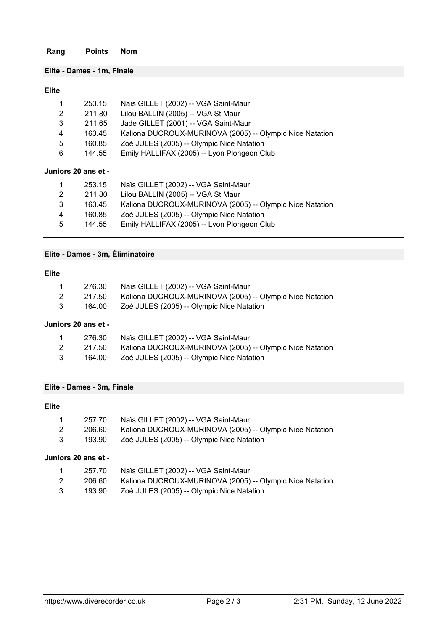### **Elite - Dames - 1m, Finale**

#### **Elite**

| 1<br>2<br>3<br>4<br>5<br>6 | 253.15<br>211.80<br>211.65<br>163.45<br>160.85<br>144.55 | Naïs GILLET (2002) -- VGA Saint-Maur<br>Lilou BALLIN (2005) -- VGA St Maur<br>Jade GILLET (2001) -- VGA Saint-Maur<br>Kaliona DUCROUX-MURINOVA (2005) -- Olympic Nice Natation<br>Zoé JULES (2005) -- Olympic Nice Natation<br>Emily HALLIFAX (2005) -- Lyon Plongeon Club |
|----------------------------|----------------------------------------------------------|----------------------------------------------------------------------------------------------------------------------------------------------------------------------------------------------------------------------------------------------------------------------------|
|                            | Juniors 20 ans et -                                      |                                                                                                                                                                                                                                                                            |
| 1                          | 253.15                                                   | Naïs GILLET (2002) -- VGA Saint-Maur                                                                                                                                                                                                                                       |
| 2                          | 211.80                                                   | Lilou BALLIN (2005) -- VGA St Maur                                                                                                                                                                                                                                         |
| 3                          | 163.45                                                   | Kaliona DUCROUX-MURINOVA (2005) -- Olympic Nice Natation                                                                                                                                                                                                                   |
| 4                          | 160.85                                                   | Zoé JULES (2005) -- Olympic Nice Natation                                                                                                                                                                                                                                  |
| 5                          | 144.55                                                   | Emily HALLIFAX (2005) -- Lyon Plongeon Club                                                                                                                                                                                                                                |

### **Elite - Dames - 3m, Éliminatoire**

#### **Elite**

| 1 | 276.30 | Naïs GILLET (2002) -- VGA Saint-Maur                     |
|---|--------|----------------------------------------------------------|
| 2 | 217.50 | Kaliona DUCROUX-MURINOVA (2005) -- Olympic Nice Natation |
| 3 | 164.00 | Zoé JULES (2005) -- Olympic Nice Natation                |
|   |        |                                                          |

#### **Juniors 20 ans et -**

|   | 276.30 | Naïs GILLET (2002) -- VGA Saint-Maur                     |
|---|--------|----------------------------------------------------------|
| 2 | 217.50 | Kaliona DUCROUX-MURINOVA (2005) -- Olympic Nice Natation |
| 3 | 164.00 | Zoé JULES (2005) -- Olympic Nice Natation                |

#### **Elite - Dames - 3m, Finale**

#### **Elite**

| $\mathbf{1}$ |        | 257.70 Naïs GILLET (2002) -- VGA Saint-Maur                     |
|--------------|--------|-----------------------------------------------------------------|
| 2            |        | 206.60 Kaliona DUCROUX-MURINOVA (2005) -- Olympic Nice Natation |
| 3            | 193.90 | Zoé JULES (2005) -- Olympic Nice Natation                       |

#### **Juniors 20 ans et -**

| $\overline{1}$ | 257.70 | Naïs GILLET (2002) -- VGA Saint-Maur                     |
|----------------|--------|----------------------------------------------------------|
| 2              | 206.60 | Kaliona DUCROUX-MURINOVA (2005) -- Olympic Nice Natation |
| 3              | 193.90 | Zoé JULES (2005) -- Olympic Nice Natation                |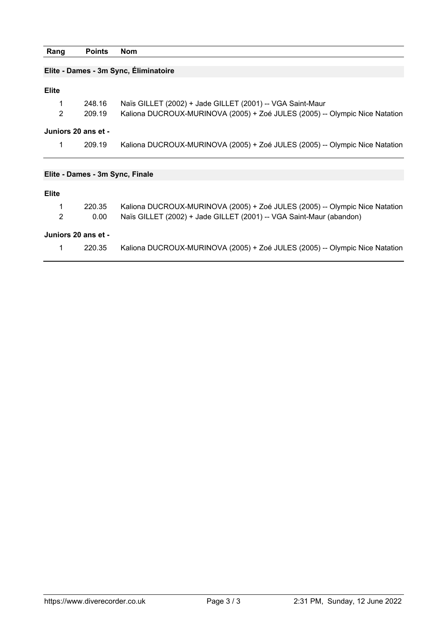| Rang                | <b>Points</b>                         | <b>Nom</b>                                                                  |  |  |  |  |
|---------------------|---------------------------------------|-----------------------------------------------------------------------------|--|--|--|--|
|                     |                                       |                                                                             |  |  |  |  |
|                     | Elite - Dames - 3m Sync, Eliminatoire |                                                                             |  |  |  |  |
|                     |                                       |                                                                             |  |  |  |  |
| <b>Elite</b>        |                                       |                                                                             |  |  |  |  |
| 1                   | 248.16                                | Naïs GILLET (2002) + Jade GILLET (2001) -- VGA Saint-Maur                   |  |  |  |  |
| 2                   | 209.19                                | Kaliona DUCROUX-MURINOVA (2005) + Zoé JULES (2005) -- Olympic Nice Natation |  |  |  |  |
|                     |                                       |                                                                             |  |  |  |  |
|                     | Juniors 20 ans et -                   |                                                                             |  |  |  |  |
| 1                   | 209.19                                | Kaliona DUCROUX-MURINOVA (2005) + Zoé JULES (2005) -- Olympic Nice Natation |  |  |  |  |
|                     |                                       |                                                                             |  |  |  |  |
|                     |                                       |                                                                             |  |  |  |  |
|                     | Elite - Dames - 3m Sync, Finale       |                                                                             |  |  |  |  |
|                     |                                       |                                                                             |  |  |  |  |
| <b>Elite</b>        |                                       |                                                                             |  |  |  |  |
| 1                   | 220.35                                | Kaliona DUCROUX-MURINOVA (2005) + Zoé JULES (2005) -- Olympic Nice Natation |  |  |  |  |
| $\overline{2}$      | 0.00                                  | Naïs GILLET (2002) + Jade GILLET (2001) -- VGA Saint-Maur (abandon)         |  |  |  |  |
|                     |                                       |                                                                             |  |  |  |  |
| Juniors 20 ans et - |                                       |                                                                             |  |  |  |  |
| 1                   | 220.35                                | Kaliona DUCROUX-MURINOVA (2005) + Zoé JULES (2005) -- Olympic Nice Natation |  |  |  |  |
|                     |                                       |                                                                             |  |  |  |  |